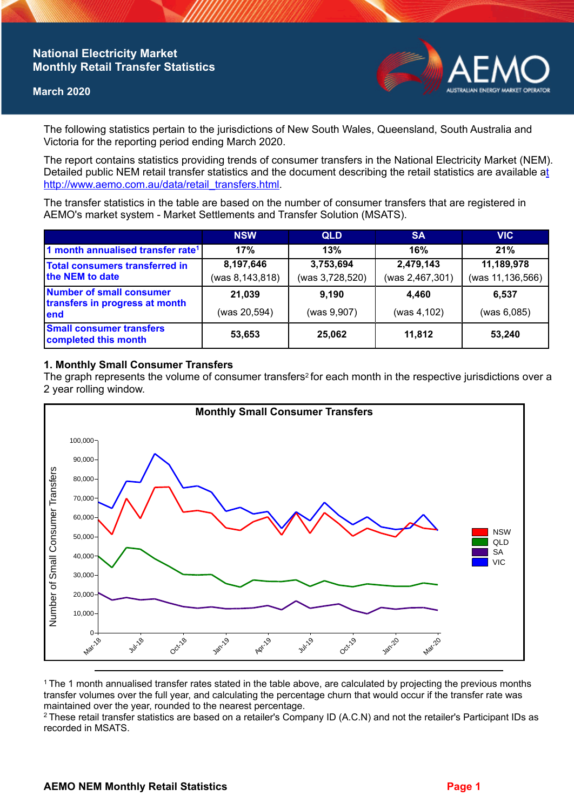# **National Electricity Market Monthly Retail Transfer Statistics**

#### **March 2020**



The following statistics pertain to the jurisdictions of New South Wales, Queensland, South Australia and Victoria for the reporting period ending March 2020.

The report contains statistics providing trends of consumer transfers in the National Electricity Market (NEM). Detailed public NEM retail transfer statistics and the document describing the retail statistics are available a[t](http://www.aemo.com.au/data/retail_transfers.html)  http://www.aemo.com.au/data/retail\_transfers.html

The transfer statistics in the table are based on the number of consumer transfers that are registered in AEMO's market system - Market Settlements and Transfer Solution (MSATS).

|                                                                    | <b>NSW</b>      | <b>QLD</b>      | <b>SA</b>       | <b>VIC</b>         |
|--------------------------------------------------------------------|-----------------|-----------------|-----------------|--------------------|
| 1 month annualised transfer rate <sup>1</sup>                      | 17%             | 13%             | 16%             | 21%                |
| Total consumers transferred in<br>the NEM to date                  | 8,197,646       | 3,753,694       | 2,479,143       | 11,189,978         |
|                                                                    | (was 8,143,818) | (was 3,728,520) | (was 2,467,301) | (was 11, 136, 566) |
| Number of small consumer<br>transfers in progress at month<br>lend | 21,039          | 9,190           | 4,460           | 6,537              |
|                                                                    | (was 20,594)    | (was 9,907)     | (was 4, 102)    | (was 6,085)        |
| <b>Small consumer transfers</b><br>completed this month            | 53,653          | 25,062          | 11,812          | 53,240             |

### **1. Monthly Small Consumer Transfers**

The graph represents the volume of consumer transfers<sup>2</sup> for each month in the respective jurisdictions over a 2 year rolling window.



<sup>1</sup>The 1 month annualised transfer rates stated in the table above, are calculated by projecting the previous months transfer volumes over the full year, and calculating the percentage churn that would occur if the transfer rate was maintained over the year, rounded to the nearest percentage.

<sup>2</sup> These retail transfer statistics are based on a retailer's Company ID (A.C.N) and not the retailer's Participant IDs as recorded in MSATS.